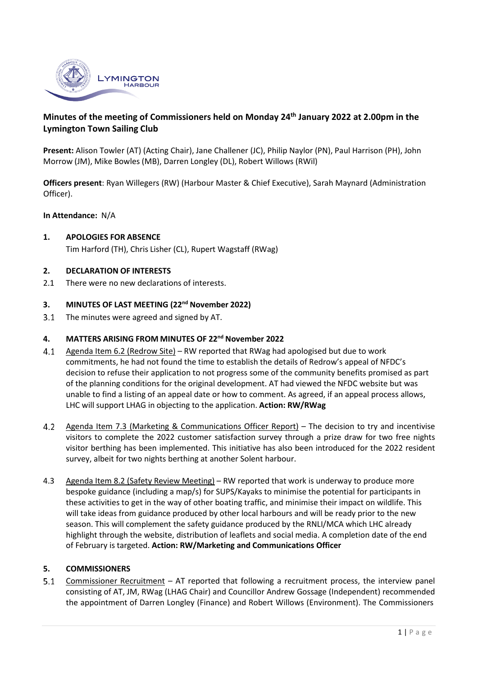

# **Minutes of the meeting of Commissioners held on Monday 24th January 2022 at 2.00pm in the Lymington Town Sailing Club**

**Present:** Alison Towler (AT) (Acting Chair), Jane Challener (JC), Philip Naylor (PN), Paul Harrison (PH), John Morrow (JM), Mike Bowles (MB), Darren Longley (DL), Robert Willows (RWil)

**Officers present**: Ryan Willegers (RW) (Harbour Master & Chief Executive), Sarah Maynard (Administration Officer).

### **In Attendance:** N/A

### **1. APOLOGIES FOR ABSENCE**

Tim Harford (TH), Chris Lisher (CL), Rupert Wagstaff (RWag)

#### **2. DECLARATION OF INTERESTS**

2.1 There were no new declarations of interests.

#### **3. MINUTES OF LAST MEETING (22nd November 2022)**

The minutes were agreed and signed by AT.  $3.1$ 

# **4. MATTERS ARISING FROM MINUTES OF 22nd November 2022**

- Agenda Item 6.2 (Redrow Site) RW reported that RWag had apologised but due to work  $4.1$ commitments, he had not found the time to establish the details of Redrow's appeal of NFDC's decision to refuse their application to not progress some of the community benefits promised as part of the planning conditions for the original development. AT had viewed the NFDC website but was unable to find a listing of an appeal date or how to comment. As agreed, if an appeal process allows, LHC will support LHAG in objecting to the application. **Action: RW/RWag**
- $4.2$ Agenda Item 7.3 (Marketing & Communications Officer Report) – The decision to try and incentivise visitors to complete the 2022 customer satisfaction survey through a prize draw for two free nights visitor berthing has been implemented. This initiative has also been introduced for the 2022 resident survey, albeit for two nights berthing at another Solent harbour.
- 4.3 Agenda Item 8.2 (Safety Review Meeting) RW reported that work is underway to produce more bespoke guidance (including a map/s) for SUPS/Kayaks to minimise the potential for participants in these activities to get in the way of other boating traffic, and minimise their impact on wildlife. This will take ideas from guidance produced by other local harbours and will be ready prior to the new season. This will complement the safety guidance produced by the RNLI/MCA which LHC already highlight through the website, distribution of leaflets and social media. A completion date of the end of February is targeted. **Action: RW/Marketing and Communications Officer**

#### **5. COMMISSIONERS**

 $5.1$ Commissioner Recruitment – AT reported that following a recruitment process, the interview panel consisting of AT, JM, RWag (LHAG Chair) and Councillor Andrew Gossage (Independent) recommended the appointment of Darren Longley (Finance) and Robert Willows (Environment). The Commissioners